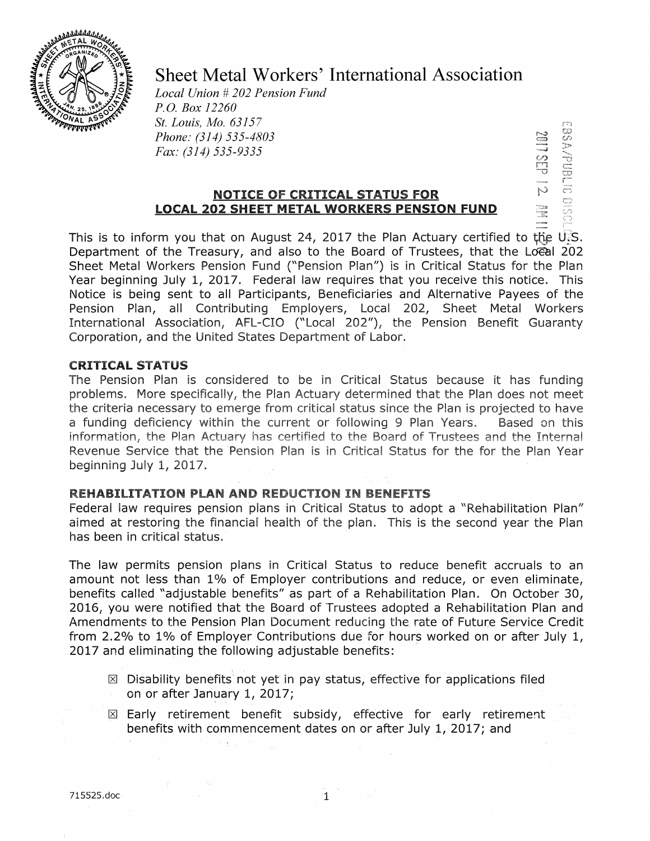

# Sheet Metal Workers' International Association

 $\mathbf{e}^{\mathbf{m}}$   $\mathbf{e}^{\mathbf{m}}$  $\frac{1}{2} \sum_{j=1}^{N}$ s: v r  $\frac{1}{2}$ 

~J~ ·.::x

*Local Union* # *202 Pension Fund P.O. Box 12260 St. Louis, Mo. 63157 Phone: (314) 535-4803 Fax: (314) 535-9335* 

## **NOTICE OF CRITICAL STATUS FOR LOCAL 202 SHEET METAL WORKERS PENSION FUND**

This is to inform you that on August 24, 2017 the Plan Actuary certified to the U.S. Department of the Treasury, and also to the Board of Trustees, that the Loeal 202 Sheet Metal Workers Pension Fund ("Pension Plan") is in Critical Status for the Plan Year beginning July 1, 2017. Federal law requires that you receive this notice. This Notice is being sent to all Participants, Beneficiaries and Alternative Payees of the Pension Plan, all Contributing Employers, Local 202, Sheet Metal Workers International Association, AFL-CIO ("Local 202"), the Pension Benefit Guaranty Corporation, and the United States Department of Labor.

#### **CRITICAL STATUS**

The Pension Plan is considered to be in Critical Status because it has funding problems. More specifically, the Plan Actuary determined that the Plan does not meet the criteria necessary to emerge from critical status since the Plan is projected to have a funding deficiency within the current or following 9 Plan Years. Based on this information, the Plan Actuary has certified to the Board of Trustees and the Internal Revenue Service that the 'Pension Plan is in Critical Status for the for the Plan Year beginning July 1, 2017.

### **REHABILITATION PLAN AND REDUCTION IN BENEFITS**

Federal law requires pension plans in Critical Status to adopt a "Rehabilitation Plan" aimed at restoring the financial health of the plan. This is the second year the Plan has been in critical status.

The law permits pension plans in Critical Status to reduce benefit accruals to an amount not less than 1% of Employer contributions and reduce, or even eliminate, benefits called "adjustable benefits" as part of a Rehabilitation Plan. On October 30, 2016, you were notified that the Board of Trustees adopted a Rehabilitation Plan and Amendments to the Pension Plan Document reducing the rate of Future Service Credit from 2.2% to 1% of Employer Contributions due for hours worked on or after July 1, 2017 and eliminating the following adjustable benefits:

- $[8]$  Disability benefits not yet in pay status, effective for applications filed on or after January 1, 2017;
- $\boxtimes$  Early retirement benefit subsidy, effective for early retirement benefits with commencement dates on or after July 1, 2017; and